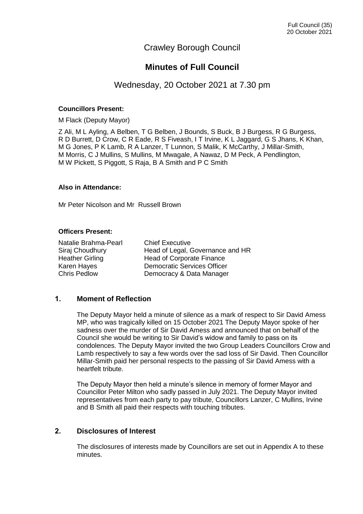# Crawley Borough Council

# **Minutes of Full Council**

# Wednesday, 20 October 2021 at 7.30 pm

#### **Councillors Present:**

M Flack (Deputy Mayor)

Z Ali, M L Ayling, A Belben, T G Belben, J Bounds, S Buck, B J Burgess, R G Burgess, R D Burrett, D Crow, C R Eade, R S Fiveash, I T Irvine, K L Jaggard, G S Jhans, K Khan, M G Jones, P K Lamb, R A Lanzer, T Lunnon, S Malik, K McCarthy, J Millar-Smith, M Morris, C J Mullins, S Mullins, M Mwagale, A Nawaz, D M Peck, A Pendlington, M W Pickett, S Piggott, S Raja, B A Smith and P C Smith

#### **Also in Attendance:**

Mr Peter Nicolson and Mr Russell Brown

#### **Officers Present:**

Natalie Brahma-Pearl Siraj Choudhury Heather Girling Karen Hayes Chris Pedlow

Chief Executive Head of Legal, Governance and HR Head of Corporate Finance Democratic Services Officer Democracy & Data Manager

# **1. Moment of Reflection**

The Deputy Mayor held a minute of silence as a mark of respect to Sir David Amess MP, who was tragically killed on 15 October 2021 The Deputy Mayor spoke of her sadness over the murder of Sir David Amess and announced that on behalf of the Council she would be writing to Sir David's widow and family to pass on its condolences. The Deputy Mayor invited the two Group Leaders Councillors Crow and Lamb respectively to say a few words over the sad loss of Sir David. Then Councillor Millar-Smith paid her personal respects to the passing of Sir David Amess with a heartfelt tribute.

The Deputy Mayor then held a minute's silence in memory of former Mayor and Councillor Peter Milton who sadly passed in July 2021. The Deputy Mayor invited representatives from each party to pay tribute, Councillors Lanzer, C Mullins, Irvine and B Smith all paid their respects with touching tributes.

#### **2. Disclosures of Interest**

The disclosures of interests made by Councillors are set out in Appendix A to these minutes.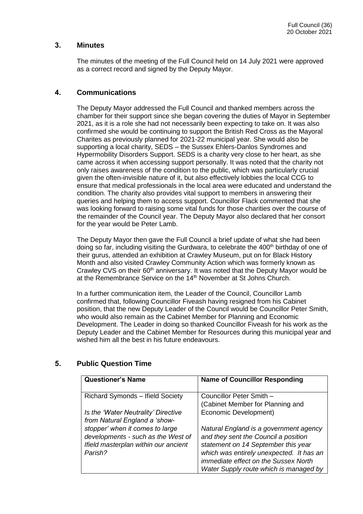### **3. Minutes**

The minutes of the meeting of the Full Council held on 14 July 2021 were approved as a correct record and signed by the Deputy Mayor.

### **4. Communications**

The Deputy Mayor addressed the Full Council and thanked members across the chamber for their support since she began covering the duties of Mayor in September 2021, as it is a role she had not necessarily been expecting to take on. It was also confirmed she would be continuing to support the British Red Cross as the Mayoral Charites as previously planned for 2021-22 municipal year. She would also be supporting a local charity, SEDS – the Sussex Ehlers-Danlos Syndromes and Hypermobility Disorders Support. SEDS is a charity very close to her heart, as she came across it when accessing support personally. It was noted that the charity not only raises awareness of the condition to the public, which was particularly crucial given the often-invisible nature of it, but also effectively lobbies the local CCG to ensure that medical professionals in the local area were educated and understand the condition. The charity also provides vital support to members in answering their queries and helping them to access support. Councillor Flack commented that she was looking forward to raising some vital funds for those charities over the course of the remainder of the Council year. The Deputy Mayor also declared that her consort for the year would be Peter Lamb.

The Deputy Mayor then gave the Full Council a brief update of what she had been doing so far, including visiting the Gurdwara, to celebrate the 400<sup>th</sup> birthday of one of their gurus, attended an exhibition at Crawley Museum, put on for Black History Month and also visited Crawley Community Action which was formerly known as Crawley CVS on their  $60<sup>th</sup>$  anniversary. It was noted that the Deputy Mayor would be at the Remembrance Service on the 14<sup>th</sup> November at St Johns Church.

In a further communication item, the Leader of the Council, Councillor Lamb confirmed that, following Councillor Fiveash having resigned from his Cabinet position, that the new Deputy Leader of the Council would be Councillor Peter Smith, who would also remain as the Cabinet Member for Planning and Economic Development. The Leader in doing so thanked Councillor Fiveash for his work as the Deputy Leader and the Cabinet Member for Resources during this municipal year and wished him all the best in his future endeavours.

| <b>Questioner's Name</b>                                              | <b>Name of Councillor Responding</b>                                                  |
|-----------------------------------------------------------------------|---------------------------------------------------------------------------------------|
| <b>Richard Symonds - Ifield Society</b>                               | Councillor Peter Smith -<br>(Cabinet Member for Planning and                          |
| Is the 'Water Neutrality' Directive<br>from Natural England a 'show-  | Economic Development)                                                                 |
| stopper' when it comes to large<br>developments - such as the West of | Natural England is a government agency<br>and they sent the Council a position        |
| Ifield masterplan within our ancient<br>Parish?                       | statement on 14 September this year<br>which was entirely unexpected. It has an       |
|                                                                       | <i>immediate effect on the Sussex North</i><br>Water Supply route which is managed by |

# **5. Public Question Time**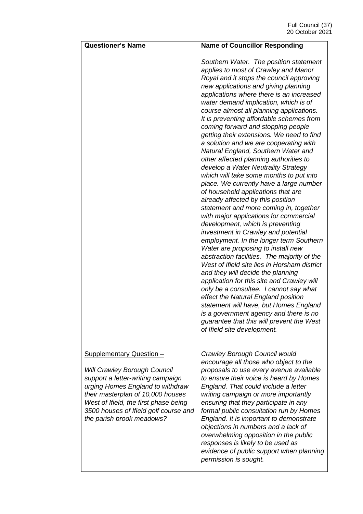| <b>Questioner's Name</b>                                                                                                                                                                                                                                                                            | <b>Name of Councillor Responding</b>                                                                                                                                                                                                                                                                                                                                                                                                                                                                                                                                                                                                                                                                                                                                                                                                                                                                                                                                                                                                                                                                                                                                                                                                                                                                                                                                                                                                                     |
|-----------------------------------------------------------------------------------------------------------------------------------------------------------------------------------------------------------------------------------------------------------------------------------------------------|----------------------------------------------------------------------------------------------------------------------------------------------------------------------------------------------------------------------------------------------------------------------------------------------------------------------------------------------------------------------------------------------------------------------------------------------------------------------------------------------------------------------------------------------------------------------------------------------------------------------------------------------------------------------------------------------------------------------------------------------------------------------------------------------------------------------------------------------------------------------------------------------------------------------------------------------------------------------------------------------------------------------------------------------------------------------------------------------------------------------------------------------------------------------------------------------------------------------------------------------------------------------------------------------------------------------------------------------------------------------------------------------------------------------------------------------------------|
|                                                                                                                                                                                                                                                                                                     | Southern Water. The position statement<br>applies to most of Crawley and Manor<br>Royal and it stops the council approving<br>new applications and giving planning<br>applications where there is an increased<br>water demand implication, which is of<br>course almost all planning applications.<br>It is preventing affordable schemes from<br>coming forward and stopping people<br>getting their extensions. We need to find<br>a solution and we are cooperating with<br>Natural England, Southern Water and<br>other affected planning authorities to<br>develop a Water Neutrality Strategy<br>which will take some months to put into<br>place. We currently have a large number<br>of household applications that are<br>already affected by this position<br>statement and more coming in, together<br>with major applications for commercial<br>development, which is preventing<br>investment in Crawley and potential<br>employment. In the longer term Southern<br>Water are proposing to install new<br>abstraction facilities. The majority of the<br>West of Ifield site lies in Horsham district<br>and they will decide the planning<br>application for this site and Crawley will<br>only be a consultee. I cannot say what<br>effect the Natural England position<br>statement will have, but Homes England<br>is a government agency and there is no<br>guarantee that this will prevent the West<br>of Ifield site development. |
| <b>Supplementary Question -</b><br><b>Will Crawley Borough Council</b><br>support a letter-writing campaign<br>urging Homes England to withdraw<br>their masterplan of 10,000 houses<br>West of Ifield, the first phase being<br>3500 houses of Ifield golf course and<br>the parish brook meadows? | Crawley Borough Council would<br>encourage all those who object to the<br>proposals to use every avenue available<br>to ensure their voice is heard by Homes<br>England. That could include a letter<br>writing campaign or more importantly<br>ensuring that they participate in any<br>formal public consultation run by Homes<br>England. It is important to demonstrate<br>objections in numbers and a lack of<br>overwhelming opposition in the public<br>responses is likely to be used as<br>evidence of public support when planning<br>permission is sought.                                                                                                                                                                                                                                                                                                                                                                                                                                                                                                                                                                                                                                                                                                                                                                                                                                                                                    |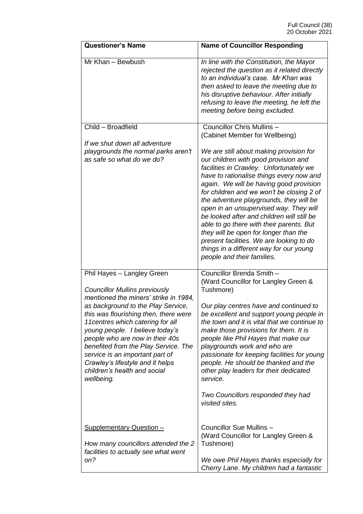| <b>Questioner's Name</b>                                                                                                                                                                                                                                                                                                                                                                                                                                           | <b>Name of Councillor Responding</b>                                                                                                                                                                                                                                                                                                                                                                                                                                                                                                       |
|--------------------------------------------------------------------------------------------------------------------------------------------------------------------------------------------------------------------------------------------------------------------------------------------------------------------------------------------------------------------------------------------------------------------------------------------------------------------|--------------------------------------------------------------------------------------------------------------------------------------------------------------------------------------------------------------------------------------------------------------------------------------------------------------------------------------------------------------------------------------------------------------------------------------------------------------------------------------------------------------------------------------------|
| Mr Khan - Bewbush                                                                                                                                                                                                                                                                                                                                                                                                                                                  | In line with the Constitution, the Mayor<br>rejected the question as it related directly<br>to an individual's case. Mr Khan was<br>then asked to leave the meeting due to<br>his disruptive behaviour. After initially<br>refusing to leave the meeting, he left the<br>meeting before being excluded.                                                                                                                                                                                                                                    |
| Child - Broadfield<br>If we shut down all adventure<br>playgrounds the normal parks aren't<br>as safe so what do we do?                                                                                                                                                                                                                                                                                                                                            | Councillor Chris Mullins -<br>(Cabinet Member for Wellbeing)<br>We are still about making provision for<br>our children with good provision and<br>facilities in Crawley. Unfortunately we<br>have to rationalise things every now and<br>again. We will be having good provision<br>for children and we won't be closing 2 of<br>the adventure playgrounds, they will be<br>open in an unsupervised way. They will                                                                                                                        |
|                                                                                                                                                                                                                                                                                                                                                                                                                                                                    | be looked after and children will still be<br>able to go there with their parents. But<br>they will be open for longer than the<br>present facilities. We are looking to do<br>things in a different way for our young<br>people and their families.                                                                                                                                                                                                                                                                                       |
| Phil Hayes - Langley Green<br><b>Councillor Mullins previously</b><br>mentioned the miners' strike in 1984,<br>as background to the Play Service,<br>this was flourishing then, there were<br>11 centres which catering for all<br>young people. I believe today's<br>people who are now in their 40s<br>benefited from the Play Service. The<br>service is an important part of<br>Crawley's lifestyle and it helps<br>children's health and social<br>wellbeing. | Councillor Brenda Smith -<br>(Ward Councillor for Langley Green &<br>Tushmore)<br>Our play centres have and continued to<br>be excellent and support young people in<br>the town and it is vital that we continue to<br>make those provisions for them. It is<br>people like Phil Hayes that make our<br>playgrounds work and who are<br>passionate for keeping facilities for young<br>people. He should be thanked and the<br>other play leaders for their dedicated<br>service.<br>Two Councillors responded they had<br>visited sites. |
| <b>Supplementary Question -</b><br>How many councillors attended the 2<br>facilities to actually see what went<br>on?                                                                                                                                                                                                                                                                                                                                              | Councillor Sue Mullins -<br>(Ward Councillor for Langley Green &<br>Tushmore)<br>We owe Phil Hayes thanks especially for                                                                                                                                                                                                                                                                                                                                                                                                                   |
|                                                                                                                                                                                                                                                                                                                                                                                                                                                                    | Cherry Lane. My children had a fantastic                                                                                                                                                                                                                                                                                                                                                                                                                                                                                                   |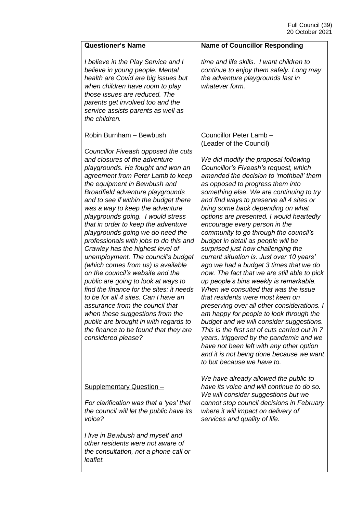| <b>Questioner's Name</b>                                                                                                                                                                                                                                                                                                                                                                                                                                                                                                                                                                                                                                                                                                                                                                                                                                                                                                                         | <b>Name of Councillor Responding</b>                                                                                                                                                                                                                                                                                                                                                                                                                                                                                                                                                                                                                                                                                                                                                                                                                                                                                                                                                                                                                                                                                                                                    |
|--------------------------------------------------------------------------------------------------------------------------------------------------------------------------------------------------------------------------------------------------------------------------------------------------------------------------------------------------------------------------------------------------------------------------------------------------------------------------------------------------------------------------------------------------------------------------------------------------------------------------------------------------------------------------------------------------------------------------------------------------------------------------------------------------------------------------------------------------------------------------------------------------------------------------------------------------|-------------------------------------------------------------------------------------------------------------------------------------------------------------------------------------------------------------------------------------------------------------------------------------------------------------------------------------------------------------------------------------------------------------------------------------------------------------------------------------------------------------------------------------------------------------------------------------------------------------------------------------------------------------------------------------------------------------------------------------------------------------------------------------------------------------------------------------------------------------------------------------------------------------------------------------------------------------------------------------------------------------------------------------------------------------------------------------------------------------------------------------------------------------------------|
| I believe in the Play Service and I<br>believe in young people. Mental<br>health are Covid are big issues but<br>when children have room to play<br>those issues are reduced. The<br>parents get involved too and the<br>service assists parents as well as<br>the children.                                                                                                                                                                                                                                                                                                                                                                                                                                                                                                                                                                                                                                                                     | time and life skills. I want children to<br>continue to enjoy them safely. Long may<br>the adventure playgrounds last in<br>whatever form.                                                                                                                                                                                                                                                                                                                                                                                                                                                                                                                                                                                                                                                                                                                                                                                                                                                                                                                                                                                                                              |
| Robin Burnham - Bewbush<br>Councillor Fiveash opposed the cuts<br>and closures of the adventure<br>playgrounds. He fought and won an<br>agreement from Peter Lamb to keep<br>the equipment in Bewbush and<br>Broadfield adventure playgrounds<br>and to see if within the budget there<br>was a way to keep the adventure<br>playgrounds going. I would stress<br>that in order to keep the adventure<br>playgrounds going we do need the<br>professionals with jobs to do this and<br>Crawley has the highest level of<br>unemployment. The council's budget<br>(which comes from us) is available<br>on the council's website and the<br>public are going to look at ways to<br>find the finance for the sites: it needs<br>to be for all 4 sites. Can I have an<br>assurance from the council that<br>when these suggestions from the<br>public are brought in with regards to<br>the finance to be found that they are<br>considered please? | Councillor Peter Lamb -<br>(Leader of the Council)<br>We did modify the proposal following<br>Councillor's Fiveash's request, which<br>amended the decision to 'mothball' them<br>as opposed to progress them into<br>something else. We are continuing to try<br>and find ways to preserve all 4 sites or<br>bring some back depending on what<br>options are presented. I would heartedly<br>encourage every person in the<br>community to go through the council's<br>budget in detail as people will be<br>surprised just how challenging the<br>current situation is. Just over 10 years'<br>ago we had a budget 3 times that we do<br>now. The fact that we are still able to pick<br>up people's bins weekly is remarkable.<br>When we consulted that was the issue<br>that residents were most keen on<br>preserving over all other considerations. I<br>am happy for people to look through the<br>budget and we will consider suggestions.<br>This is the first set of cuts carried out in 7<br>years, triggered by the pandemic and we<br>have not been left with any other option<br>and it is not being done because we want<br>to but because we have to. |
| Supplementary Question -<br>For clarification was that a 'yes' that<br>the council will let the public have its<br>voice?                                                                                                                                                                                                                                                                                                                                                                                                                                                                                                                                                                                                                                                                                                                                                                                                                        | We have already allowed the public to<br>have its voice and will continue to do so.<br>We will consider suggestions but we<br>cannot stop council decisions in February<br>where it will impact on delivery of<br>services and quality of life.                                                                                                                                                                                                                                                                                                                                                                                                                                                                                                                                                                                                                                                                                                                                                                                                                                                                                                                         |
| I live in Bewbush and myself and<br>other residents were not aware of<br>the consultation, not a phone call or<br>leaflet.                                                                                                                                                                                                                                                                                                                                                                                                                                                                                                                                                                                                                                                                                                                                                                                                                       |                                                                                                                                                                                                                                                                                                                                                                                                                                                                                                                                                                                                                                                                                                                                                                                                                                                                                                                                                                                                                                                                                                                                                                         |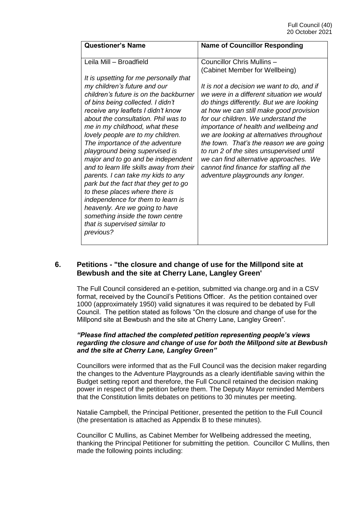| <b>Questioner's Name</b>                                                                                                                                                                                                                                                                                                                                                                                                                                                                                                                                                                                                                                                                                                                                              | <b>Name of Councillor Responding</b>                                                                                                                                                                                                                                                                                                                                                                                                                                                                                                                                                             |
|-----------------------------------------------------------------------------------------------------------------------------------------------------------------------------------------------------------------------------------------------------------------------------------------------------------------------------------------------------------------------------------------------------------------------------------------------------------------------------------------------------------------------------------------------------------------------------------------------------------------------------------------------------------------------------------------------------------------------------------------------------------------------|--------------------------------------------------------------------------------------------------------------------------------------------------------------------------------------------------------------------------------------------------------------------------------------------------------------------------------------------------------------------------------------------------------------------------------------------------------------------------------------------------------------------------------------------------------------------------------------------------|
| Leila Mill - Broadfield<br>It is upsetting for me personally that<br>my children's future and our<br>children's future is on the backburner<br>of bins being collected. I didn't<br>receive any leaflets I didn't know<br>about the consultation. Phil was to<br>me in my childhood, what these<br>lovely people are to my children.<br>The importance of the adventure<br>playground being supervised is<br>major and to go and be independent<br>and to learn life skills away from their<br>parents. I can take my kids to any<br>park but the fact that they get to go<br>to these places where there is<br>independence for them to learn is<br>heavenly. Are we going to have<br>something inside the town centre<br>that is supervised similar to<br>previous? | Councillor Chris Mullins -<br>(Cabinet Member for Wellbeing)<br>It is not a decision we want to do, and if<br>we were in a different situation we would<br>do things differently. But we are looking<br>at how we can still make good provision<br>for our children. We understand the<br>importance of health and wellbeing and<br>we are looking at alternatives throughout<br>the town. That's the reason we are going<br>to run 2 of the sites unsupervised until<br>we can find alternative approaches. We<br>cannot find finance for staffing all the<br>adventure playgrounds any longer. |

# **6. Petitions - "the closure and change of use for the Millpond site at Bewbush and the site at Cherry Lane, Langley Green'**

The Full Council considered an e-petition, submitted via change.org and in a CSV format, received by the Council's Petitions Officer. As the petition contained over 1000 (approximately 1950) valid signatures it was required to be debated by Full Council. The petition stated as follows "On the closure and change of use for the Millpond site at Bewbush and the site at Cherry Lane, Langley Green".

#### *"Please find attached the completed petition representing people's views regarding the closure and change of use for both the Millpond site at Bewbush and the site at Cherry Lane, Langley Green"*

Councillors were informed that as the Full Council was the decision maker regarding the changes to the Adventure Playgrounds as a clearly identifiable saving within the Budget setting report and therefore, the Full Council retained the decision making power in respect of the petition before them. The Deputy Mayor reminded Members that the Constitution limits debates on petitions to 30 minutes per meeting.

Natalie Campbell, the Principal Petitioner, presented the petition to the Full Council (the presentation is attached as Appendix B to these minutes).

Councillor C Mullins, as Cabinet Member for Wellbeing addressed the meeting, thanking the Principal Petitioner for submitting the petition. Councillor C Mullins, then made the following points including: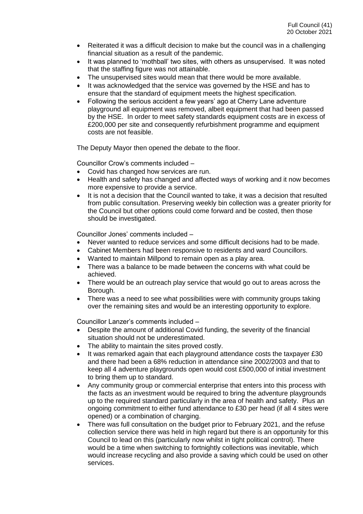- Reiterated it was a difficult decision to make but the council was in a challenging financial situation as a result of the pandemic.
- It was planned to 'mothball' two sites, with others as unsupervised. It was noted that the staffing figure was not attainable.
- The unsupervised sites would mean that there would be more available.
- It was acknowledged that the service was governed by the HSE and has to ensure that the standard of equipment meets the highest specification.
- Following the serious accident a few years' ago at Cherry Lane adventure playground all equipment was removed, albeit equipment that had been passed by the HSE. In order to meet safety standards equipment costs are in excess of £200,000 per site and consequently refurbishment programme and equipment costs are not feasible.

The Deputy Mayor then opened the debate to the floor.

Councillor Crow's comments included –

- Covid has changed how services are run.
- Health and safety has changed and affected ways of working and it now becomes more expensive to provide a service.
- It is not a decision that the Council wanted to take, it was a decision that resulted from public consultation. Preserving weekly bin collection was a greater priority for the Council but other options could come forward and be costed, then those should be investigated.

Councillor Jones' comments included –

- Never wanted to reduce services and some difficult decisions had to be made.
- Cabinet Members had been responsive to residents and ward Councillors.
- Wanted to maintain Millpond to remain open as a play area.
- There was a balance to be made between the concerns with what could be achieved.
- There would be an outreach play service that would go out to areas across the Borough.
- There was a need to see what possibilities were with community groups taking over the remaining sites and would be an interesting opportunity to explore.

Councillor Lanzer's comments included –

- Despite the amount of additional Covid funding, the severity of the financial situation should not be underestimated.
- The ability to maintain the sites proved costly.
- It was remarked again that each playground attendance costs the taxpayer £30 and there had been a 68% reduction in attendance sine 2002/2003 and that to keep all 4 adventure playgrounds open would cost £500,000 of initial investment to bring them up to standard.
- Any community group or commercial enterprise that enters into this process with the facts as an investment would be required to bring the adventure playgrounds up to the required standard particularly in the area of health and safety. Plus an ongoing commitment to either fund attendance to £30 per head (if all 4 sites were opened) or a combination of charging.
- There was full consultation on the budget prior to February 2021, and the refuse collection service there was held in high regard but there is an opportunity for this Council to lead on this (particularly now whilst in tight political control). There would be a time when switching to fortnightly collections was inevitable, which would increase recycling and also provide a saving which could be used on other services.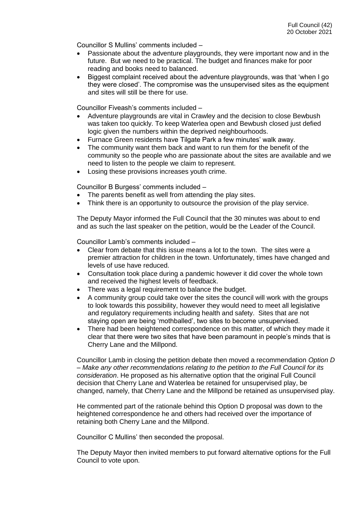Councillor S Mullins' comments included –

- Passionate about the adventure playgrounds, they were important now and in the future. But we need to be practical. The budget and finances make for poor reading and books need to balanced.
- Biggest complaint received about the adventure playgrounds, was that 'when I go they were closed'. The compromise was the unsupervised sites as the equipment and sites will still be there for use.

Councillor Fiveash's comments included –

- Adventure playgrounds are vital in Crawley and the decision to close Bewbush was taken too quickly. To keep Waterlea open and Bewbush closed just defied logic given the numbers within the deprived neighbourhoods.
- Furnace Green residents have Tilgate Park a few minutes' walk away.
- The community want them back and want to run them for the benefit of the community so the people who are passionate about the sites are available and we need to listen to the people we claim to represent.
- Losing these provisions increases youth crime.

Councillor B Burgess' comments included –

- The parents benefit as well from attending the play sites.
- Think there is an opportunity to outsource the provision of the play service.

The Deputy Mayor informed the Full Council that the 30 minutes was about to end and as such the last speaker on the petition, would be the Leader of the Council.

Councillor Lamb's comments included –

- Clear from debate that this issue means a lot to the town. The sites were a premier attraction for children in the town. Unfortunately, times have changed and levels of use have reduced.
- Consultation took place during a pandemic however it did cover the whole town and received the highest levels of feedback.
- There was a legal requirement to balance the budget.
- A community group could take over the sites the council will work with the groups to look towards this possibility, however they would need to meet all legislative and regulatory requirements including health and safety. Sites that are not staying open are being 'mothballed', two sites to become unsupervised.
- There had been heightened correspondence on this matter, of which they made it clear that there were two sites that have been paramount in people's minds that is Cherry Lane and the Millpond.

Councillor Lamb in closing the petition debate then moved a recommendation *Option D – Make any other recommendations relating to the petition to the Full Council for its consideration*. He proposed as his alternative option that the original Full Council decision that Cherry Lane and Waterlea be retained for unsupervised play, be changed, namely, that Cherry Lane and the Millpond be retained as unsupervised play.

He commented part of the rationale behind this Option D proposal was down to the heightened correspondence he and others had received over the importance of retaining both Cherry Lane and the Millpond.

Councillor C Mullins' then seconded the proposal.

The Deputy Mayor then invited members to put forward alternative options for the Full Council to vote upon.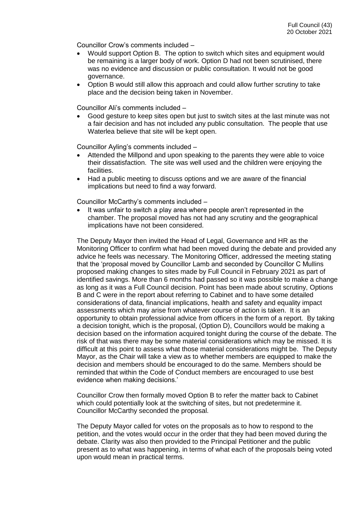Councillor Crow's comments included –

- Would support Option B. The option to switch which sites and equipment would be remaining is a larger body of work. Option D had not been scrutinised, there was no evidence and discussion or public consultation. It would not be good governance.
- Option B would still allow this approach and could allow further scrutiny to take place and the decision being taken in November.

Councillor Ali's comments included –

 Good gesture to keep sites open but just to switch sites at the last minute was not a fair decision and has not included any public consultation. The people that use Waterlea believe that site will be kept open.

Councillor Ayling's comments included –

- Attended the Millpond and upon speaking to the parents they were able to voice their dissatisfaction. The site was well used and the children were enjoying the facilities.
- Had a public meeting to discuss options and we are aware of the financial implications but need to find a way forward.

Councillor McCarthy's comments included –

 It was unfair to switch a play area where people aren't represented in the chamber. The proposal moved has not had any scrutiny and the geographical implications have not been considered.

The Deputy Mayor then invited the Head of Legal, Governance and HR as the Monitoring Officer to confirm what had been moved during the debate and provided any advice he feels was necessary. The Monitoring Officer, addressed the meeting stating that the 'proposal moved by Councillor Lamb and seconded by Councillor C Mullins proposed making changes to sites made by Full Council in February 2021 as part of identified savings. More than 6 months had passed so it was possible to make a change as long as it was a Full Council decision. Point has been made about scrutiny, Options B and C were in the report about referring to Cabinet and to have some detailed considerations of data, financial implications, health and safety and equality impact assessments which may arise from whatever course of action is taken. It is an opportunity to obtain professional advice from officers in the form of a report. By taking a decision tonight, which is the proposal, (Option D), Councillors would be making a decision based on the information acquired tonight during the course of the debate. The risk of that was there may be some material considerations which may be missed. It is difficult at this point to assess what those material considerations might be. The Deputy Mayor, as the Chair will take a view as to whether members are equipped to make the decision and members should be encouraged to do the same. Members should be reminded that within the Code of Conduct members are encouraged to use best evidence when making decisions.'

Councillor Crow then formally moved Option B to refer the matter back to Cabinet which could potentially look at the switching of sites, but not predetermine it. Councillor McCarthy seconded the proposal.

The Deputy Mayor called for votes on the proposals as to how to respond to the petition, and the votes would occur in the order that they had been moved during the debate. Clarity was also then provided to the Principal Petitioner and the public present as to what was happening, in terms of what each of the proposals being voted upon would mean in practical terms.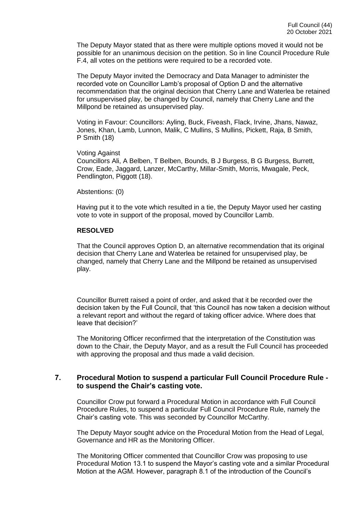The Deputy Mayor stated that as there were multiple options moved it would not be possible for an unanimous decision on the petition. So in line Council Procedure Rule F.4, all votes on the petitions were required to be a recorded vote.

The Deputy Mayor invited the Democracy and Data Manager to administer the recorded vote on Councillor Lamb's proposal of Option D and the alternative recommendation that the original decision that Cherry Lane and Waterlea be retained for unsupervised play, be changed by Council, namely that Cherry Lane and the Millpond be retained as unsupervised play.

Voting in Favour: Councillors: Ayling, Buck, Fiveash, Flack, Irvine, Jhans, Nawaz, Jones, Khan, Lamb, Lunnon, Malik, C Mullins, S Mullins, Pickett, Raja, B Smith, P Smith (18)

#### Voting Against

Councillors Ali, A Belben, T Belben, Bounds, B J Burgess, B G Burgess, Burrett, Crow, Eade, Jaggard, Lanzer, McCarthy, Millar-Smith, Morris, Mwagale, Peck, Pendlington, Piggott (18).

Abstentions: (0)

Having put it to the vote which resulted in a tie, the Deputy Mayor used her casting vote to vote in support of the proposal, moved by Councillor Lamb.

#### **RESOLVED**

That the Council approves Option D, an alternative recommendation that its original decision that Cherry Lane and Waterlea be retained for unsupervised play, be changed, namely that Cherry Lane and the Millpond be retained as unsupervised play.

Councillor Burrett raised a point of order, and asked that it be recorded over the decision taken by the Full Council, that 'this Council has now taken a decision without a relevant report and without the regard of taking officer advice. Where does that leave that decision?'

The Monitoring Officer reconfirmed that the interpretation of the Constitution was down to the Chair, the Deputy Mayor, and as a result the Full Council has proceeded with approving the proposal and thus made a valid decision.

### **7. Procedural Motion to suspend a particular Full Council Procedure Rule to suspend the Chair's casting vote.**

Councillor Crow put forward a Procedural Motion in accordance with Full Council Procedure Rules, to suspend a particular Full Council Procedure Rule, namely the Chair's casting vote. This was seconded by Councillor McCarthy.

The Deputy Mayor sought advice on the Procedural Motion from the Head of Legal, Governance and HR as the Monitoring Officer.

The Monitoring Officer commented that Councillor Crow was proposing to use Procedural Motion 13.1 to suspend the Mayor's casting vote and a similar Procedural Motion at the AGM. However, paragraph 8.1 of the introduction of the Council's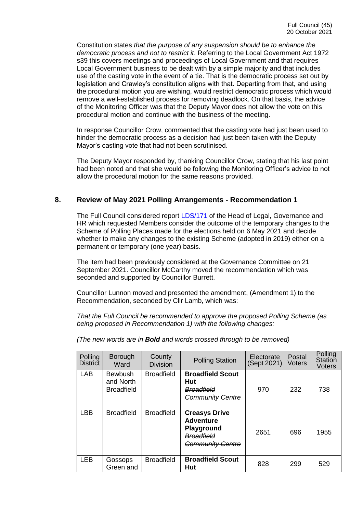Constitution states *that the purpose of any suspension should be to enhance the democratic process and not to restrict it*. Referring to the Local Government Act 1972 s39 this covers meetings and proceedings of Local Government and that requires Local Government business to be dealt with by a simple majority and that includes use of the casting vote in the event of a tie. That is the democratic process set out by legislation and Crawley's constitution aligns with that. Departing from that, and using the procedural motion you are wishing, would restrict democratic process which would remove a well-established process for removing deadlock. On that basis, the advice of the Monitoring Officer was that the Deputy Mayor does not allow the vote on this procedural motion and continue with the business of the meeting.

In response Councillor Crow, commented that the casting vote had just been used to hinder the democratic process as a decision had just been taken with the Deputy Mayor's casting vote that had not been scrutinised.

The Deputy Mayor responded by, thanking Councillor Crow, stating that his last point had been noted and that she would be following the Monitoring Officer's advice to not allow the procedural motion for the same reasons provided.

### **8. Review of May 2021 Polling Arrangements - Recommendation 1**

The Full Council considered report LDS/171 of the Head of Legal, Governance and HR which requested Members consider the outcome of the temporary changes to the Scheme of Polling Places made for the elections held on 6 May 2021 and decide whether to make any changes to the existing Scheme (adopted in 2019) either on a permanent or temporary (one year) basis.

The item had been previously considered at the Governance Committee on 21 September 2021. Councillor McCarthy moved the recommendation which was seconded and supported by Councillor Burrett.

Councillor Lunnon moved and presented the amendment, (Amendment 1) to the Recommendation, seconded by Cllr Lamb, which was:

*That the Full Council be recommended to approve the proposed Polling Scheme (as being proposed in Recommendation 1) with the following changes:*

| Polling<br><b>District</b> | <b>Borough</b><br>Ward                           | County<br><b>Division</b> | <b>Polling Station</b>                                                                              | Electorate<br>(Sept 2021) | Postal<br><b>Voters</b> | Polling<br><b>Station</b><br><b>Voters</b> |
|----------------------------|--------------------------------------------------|---------------------------|-----------------------------------------------------------------------------------------------------|---------------------------|-------------------------|--------------------------------------------|
| <b>LAB</b>                 | <b>Bewbush</b><br>and North<br><b>Broadfield</b> | <b>Broadfield</b>         | <b>Broadfield Scout</b><br>Hut<br><b>Broadfield</b><br>Community Centre                             | 970                       | 232                     | 738                                        |
| <b>LBB</b>                 | <b>Broadfield</b>                                | <b>Broadfield</b>         | <b>Creasys Drive</b><br><b>Adventure</b><br>Playground<br>Broadfield<br><del>Community Centre</del> | 2651                      | 696                     | 1955                                       |
| <b>LEB</b>                 | Gossops<br>Green and                             | <b>Broadfield</b>         | <b>Broadfield Scout</b><br>Hut                                                                      | 828                       | 299                     | 529                                        |

*(The new words are in Bold and words crossed through to be removed)*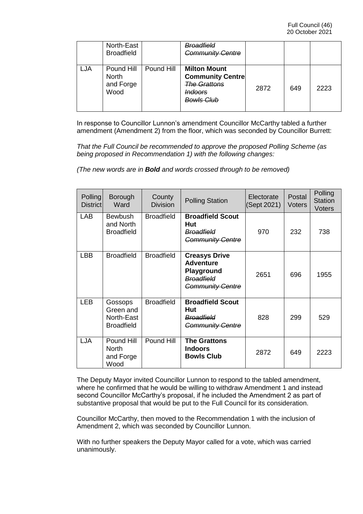|     | North-East<br><b>Broadfield</b>                 |            | <b>Broadfield</b><br>Community Centre                                                                            |      |     |      |
|-----|-------------------------------------------------|------------|------------------------------------------------------------------------------------------------------------------|------|-----|------|
| LJA | Pound Hill<br><b>North</b><br>and Forge<br>Wood | Pound Hill | <b>Milton Mount</b><br><b>Community Centre</b><br><b>The Grattons</b><br><b>Indoors</b><br><del>Bowls Club</del> | 2872 | 649 | 2223 |

In response to Councillor Lunnon's amendment Councillor McCarthy tabled a further amendment (Amendment 2) from the floor, which was seconded by Councillor Burrett:

*That the Full Council be recommended to approve the proposed Polling Scheme (as being proposed in Recommendation 1) with the following changes:*

*(The new words are in Bold and words crossed through to be removed)*

| Polling<br><b>District</b> | <b>Borough</b><br>Ward                                  | County<br><b>Division</b> | <b>Polling Station</b>                                                                          | Electorate<br>(Sept 2021) | Postal<br><b>Voters</b> | Polling<br><b>Station</b><br><b>Voters</b> |
|----------------------------|---------------------------------------------------------|---------------------------|-------------------------------------------------------------------------------------------------|---------------------------|-------------------------|--------------------------------------------|
| <b>LAB</b>                 | <b>Bewbush</b><br>and North<br><b>Broadfield</b>        | <b>Broadfield</b>         | <b>Broadfield Scout</b><br>Hut<br>Broadfield<br><b>Community Centre</b>                         | 970                       | 232                     | 738                                        |
| <b>LBB</b>                 | <b>Broadfield</b>                                       | <b>Broadfield</b>         | <b>Creasys Drive</b><br><b>Adventure</b><br>Playground<br><b>Broadfield</b><br>Community Centre | 2651                      | 696                     | 1955                                       |
| <b>LEB</b>                 | Gossops<br>Green and<br>North-East<br><b>Broadfield</b> | <b>Broadfield</b>         | <b>Broadfield Scout</b><br>Hut<br><del>Broadfield</del><br>Community Centre                     | 828                       | 299                     | 529                                        |
| <b>LJA</b>                 | Pound Hill<br><b>North</b><br>and Forge<br>Wood         | Pound Hill                | <b>The Grattons</b><br><b>Indoors</b><br><b>Bowls Club</b>                                      | 2872                      | 649                     | 2223                                       |

The Deputy Mayor invited Councillor Lunnon to respond to the tabled amendment, where he confirmed that he would be willing to withdraw Amendment 1 and instead second Councillor McCarthy's proposal, if he included the Amendment 2 as part of substantive proposal that would be put to the Full Council for its consideration.

Councillor McCarthy, then moved to the Recommendation 1 with the inclusion of Amendment 2, which was seconded by Councillor Lunnon.

With no further speakers the Deputy Mayor called for a vote, which was carried unanimously.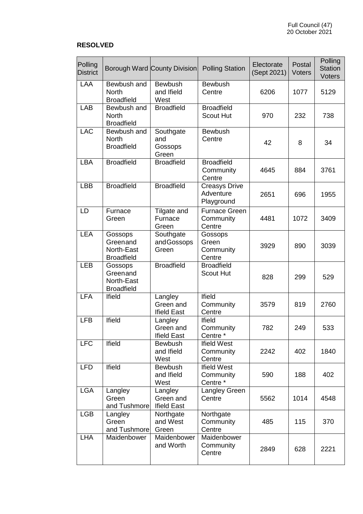# **RESOLVED**

| Polling<br><b>District</b> |                                                        | <b>Borough Ward County Division</b>        | <b>Polling Station</b>                          | Electorate<br>(Sept 2021) | Postal<br><b>Voters</b> | Polling<br><b>Station</b><br><b>Voters</b> |
|----------------------------|--------------------------------------------------------|--------------------------------------------|-------------------------------------------------|---------------------------|-------------------------|--------------------------------------------|
| <b>LAA</b>                 | Bewbush and<br><b>North</b><br><b>Broadfield</b>       | <b>Bewbush</b><br>and Ifield<br>West       | Bewbush<br>Centre                               | 6206                      | 1077                    | 5129                                       |
| <b>LAB</b>                 | Bewbush and<br><b>North</b><br><b>Broadfield</b>       | <b>Broadfield</b>                          | <b>Broadfield</b><br><b>Scout Hut</b>           | 970                       | 232                     | 738                                        |
| <b>LAC</b>                 | Bewbush and<br><b>North</b><br><b>Broadfield</b>       | Southgate<br>and<br>Gossops<br>Green       | Bewbush<br>Centre                               | 42                        | 8                       | 34                                         |
| <b>LBA</b>                 | <b>Broadfield</b>                                      | <b>Broadfield</b>                          | <b>Broadfield</b><br>Community<br>Centre        | 4645                      | 884                     | 3761                                       |
| <b>LBB</b>                 | <b>Broadfield</b>                                      | <b>Broadfield</b>                          | <b>Creasys Drive</b><br>Adventure<br>Playground | 2651                      | 696                     | 1955                                       |
| LD                         | Furnace<br>Green                                       | Tilgate and<br>Furnace<br>Green            | <b>Furnace Green</b><br>Community<br>Centre     | 4481                      | 1072                    | 3409                                       |
| <b>LEA</b>                 | Gossops<br>Greenand<br>North-East<br><b>Broadfield</b> | Southgate<br>andGossops<br>Green           | Gossops<br>Green<br>Community<br>Centre         | 3929                      | 890                     | 3039                                       |
| <b>LEB</b>                 | Gossops<br>Greenand<br>North-East<br><b>Broadfield</b> | <b>Broadfield</b>                          | <b>Broadfield</b><br><b>Scout Hut</b>           | 828                       | 299                     | 529                                        |
| <b>LFA</b>                 | <b>Ifield</b>                                          | Langley<br>Green and<br><b>Ifield East</b> | <b>Ifield</b><br>Community<br>Centre            | 3579                      | 819                     | 2760                                       |
| <b>LFB</b>                 | <b>Ifield</b>                                          | Langley<br>Green and<br><b>Ifield East</b> | Ifield<br>Community<br>Centre *                 | 782                       | 249                     | 533                                        |
| <b>LFC</b>                 | Ifield                                                 | <b>Bewbush</b><br>and Ifield<br>West       | <b>Ifield West</b><br>Community<br>Centre       | 2242                      | 402                     | 1840                                       |
| <b>LFD</b>                 | Ifield                                                 | <b>Bewbush</b><br>and Ifield<br>West       | Ifield West<br>Community<br>Centre*             | 590                       | 188                     | 402                                        |
| <b>LGA</b>                 | Langley<br>Green<br>and Tushmore                       | Langley<br>Green and<br><b>Ifield East</b> | Langley Green<br>Centre                         | 5562                      | 1014                    | 4548                                       |
| <b>LGB</b>                 | Langley<br>Green<br>and Tushmore                       | Northgate<br>and West<br>Green             | Northgate<br>Community<br>Centre                | 485                       | 115                     | 370                                        |
| <b>LHA</b>                 | Maidenbower                                            | Maidenbower<br>and Worth                   | Maidenbower<br>Community<br>Centre              | 2849                      | 628                     | 2221                                       |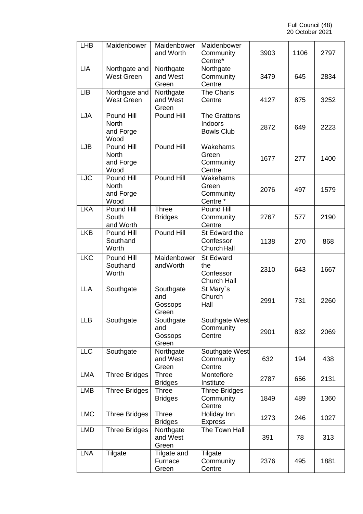| <b>LHB</b> | Maidenbower                                     | Maidenbower<br>and Worth             | Maidenbower<br>Community<br>Centre*                 | 3903 | 1106 | 2797 |
|------------|-------------------------------------------------|--------------------------------------|-----------------------------------------------------|------|------|------|
| <b>LIA</b> | Northgate and<br><b>West Green</b>              | Northgate<br>and West<br>Green       | Northgate<br>Community<br>Centre                    | 3479 | 645  | 2834 |
| <b>LIB</b> | Northgate and<br><b>West Green</b>              | Northgate<br>and West<br>Green       | The Charis<br>Centre                                | 4127 | 875  | 3252 |
| LJA        | Pound Hill<br><b>North</b><br>and Forge<br>Wood | Pound Hill                           | <b>The Grattons</b><br>Indoors<br><b>Bowls Club</b> | 2872 | 649  | 2223 |
| <b>LJB</b> | Pound Hill<br><b>North</b><br>and Forge<br>Wood | Pound Hill                           | Wakehams<br>Green<br>Community<br>Centre            | 1677 | 277  | 1400 |
| <b>LJC</b> | Pound Hill<br><b>North</b><br>and Forge<br>Wood | Pound Hill                           | Wakehams<br>Green<br>Community<br>Centre *          | 2076 | 497  | 1579 |
| <b>LKA</b> | Pound Hill<br>South<br>and Worth                | <b>Three</b><br><b>Bridges</b>       | Pound Hill<br>Community<br>Centre                   | 2767 | 577  | 2190 |
| <b>LKB</b> | Pound Hill<br>Southand<br>Worth                 | Pound Hill                           | St Edward the<br>Confessor<br>ChurchHall            | 1138 | 270  | 868  |
| <b>LKC</b> | Pound Hill<br>Southand<br>Worth                 | Maidenbower<br>andWorth              | <b>St Edward</b><br>the<br>Confessor<br>Church Hall | 2310 | 643  | 1667 |
| <b>LLA</b> | Southgate                                       | Southgate<br>and<br>Gossops<br>Green | St Mary's<br>Church<br>Hall                         | 2991 | 731  | 2260 |
| <b>LLB</b> | Southgate                                       | Southgate<br>and<br>Gossops<br>Green | Southgate West<br>Community<br>Centre               | 2901 | 832  | 2069 |
| <b>LLC</b> | Southgate                                       | Northgate<br>and West<br>Green       | Southgate West<br>Community<br>Centre               | 632  | 194  | 438  |
| <b>LMA</b> | <b>Three Bridges</b>                            | Three<br><b>Bridges</b>              | Montefiore<br>Institute                             | 2787 | 656  | 2131 |
| <b>LMB</b> | <b>Three Bridges</b>                            | <b>Three</b><br><b>Bridges</b>       | <b>Three Bridges</b><br>Community<br>Centre         | 1849 | 489  | 1360 |
| <b>LMC</b> | <b>Three Bridges</b>                            | <b>Three</b><br><b>Bridges</b>       | Holiday Inn<br><b>Express</b>                       | 1273 | 246  | 1027 |
| <b>LMD</b> | <b>Three Bridges</b>                            | Northgate<br>and West<br>Green       | The Town Hall                                       | 391  | 78   | 313  |
| <b>LNA</b> | Tilgate                                         | Tilgate and<br>Furnace<br>Green      | Tilgate<br>Community<br>Centre                      | 2376 | 495  | 1881 |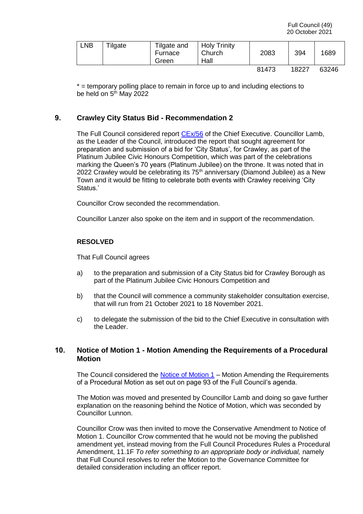| <b>LNB</b> | Tilgate | Tilgate and<br>Furnace<br>Green | <b>Holy Trinity</b><br>Church<br>Hall | 2083  | 394   | 1689  |
|------------|---------|---------------------------------|---------------------------------------|-------|-------|-------|
|            |         |                                 |                                       | 81473 | 18227 | 63246 |

\* = temporary polling place to remain in force up to and including elections to be held on  $5<sup>th</sup>$  May 2022

### **9. Crawley City Status Bid - Recommendation 2**

The Full Council considered report [CEx/56](https://democracy.crawley.gov.uk/documents/s20378/Crawley%20City%20Status%20Bid.pdf) of the Chief Executive. Councillor Lamb, as the Leader of the Council, introduced the report that sought agreement for preparation and submission of a bid for 'City Status', for Crawley, as part of the Platinum Jubilee Civic Honours Competition, which was part of the celebrations marking the Queen's 70 years (Platinum Jubilee) on the throne. It was noted that in 2022 Crawley would be celebrating its  $75<sup>th</sup>$  anniversary (Diamond Jubilee) as a New Town and it would be fitting to celebrate both events with Crawley receiving 'City Status.'

Councillor Crow seconded the recommendation.

Councillor Lanzer also spoke on the item and in support of the recommendation.

#### **RESOLVED**

That Full Council agrees

- a) to the preparation and submission of a City Status bid for Crawley Borough as part of the Platinum Jubilee Civic Honours Competition and
- b) that the Council will commence a community stakeholder consultation exercise, that will run from 21 October 2021 to 18 November 2021.
- c) to delegate the submission of the bid to the Chief Executive in consultation with the Leader.

### **10. Notice of Motion 1 - Motion Amending the Requirements of a Procedural Motion**

The Council considered the [Notice of Motion 1](https://crawleyintranet.moderngov.co.uk/documents/s20326/NOM%201%20-%20FC%20PROCEDURE%20RULES.pdf) – Motion Amending the Requirements of a Procedural Motion as set out on page 93 of the Full Council's agenda.

The Motion was moved and presented by Councillor Lamb and doing so gave further explanation on the reasoning behind the Notice of Motion, which was seconded by Councillor Lunnon.

Councillor Crow was then invited to move the Conservative Amendment to Notice of Motion 1. Councillor Crow commented that he would not be moving the published amendment yet, instead moving from the Full Council Procedures Rules a Procedural Amendment, 11.1F *To refer something to an appropriate body or individual,* namely that Full Council resolves to refer the Motion to the Governance Committee for detailed consideration including an officer report.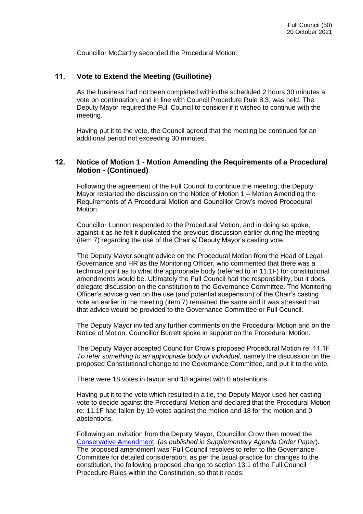Councillor McCarthy seconded the Procedural Motion.

#### **11. Vote to Extend the Meeting (Guillotine)**

As the business had not been completed within the scheduled 2 hours 30 minutes a vote on continuation, and in line with Council Procedure Rule 8.3, was held. The Deputy Mayor required the Full Council to consider if it wished to continue with the meeting.

Having put it to the vote, the Council agreed that the meeting be continued for an additional period not exceeding 30 minutes.

### **12. Notice of Motion 1 - Motion Amending the Requirements of a Procedural Motion - (Continued)**

Following the agreement of the Full Council to continue the meeting, the Deputy Mayor restarted the discussion on the Notice of Motion 1 – Motion Amending the Requirements of A Procedural Motion and Councillor Crow's moved Procedural Motion.

Councillor Lunnon responded to the Procedural Motion, and in doing so spoke, against it as he felt it duplicated the previous discussion earlier during the meeting (item 7) regarding the use of the Chair's/ Deputy Mayor's casting vote.

The Deputy Mayor sought advice on the Procedural Motion from the Head of Legal, Governance and HR as the Monitoring Officer, who commented that there was a technical point as to what the appropriate body (referred to in 11.1F) for constitutional amendments would be. Ultimately the Full Council had the responsibility, but it does delegate discussion on the constitution to the Governance Committee. The Monitoring Officer's advice given on the use (and potential suspension) of the Chair's casting vote an earlier in the meeting (item 7) remained the same and it was stressed that that advice would be provided to the Governance Committee or Full Council.

The Deputy Mayor invited any further comments on the Procedural Motion and on the Notice of Motion. Councillor Burrett spoke in support on the Procedural Motion.

The Deputy Mayor accepted Councillor Crow's proposed Procedural Motion re: 11.1F *To refer something to an appropriate body or individual,* namely the discussion on the proposed Constitutional change to the Governance Committee, and put it to the vote.

There were 18 votes in favour and 18 against with 0 abstentions.

Having put it to the vote which resulted in a tie, the Deputy Mayor used her casting vote to decide against the Procedural Motion and declared that the Procedural Motion re: 11.1F had fallen by 19 votes against the motion and 18 for the motion and 0 abstentions.

Following an invitation from the Deputy Mayor, Councillor Crow then moved the [Conservative](https://crawleyintranet.moderngov.co.uk/documents/s20476/Amendment%20NOM%201%20Con.pdf) Amendment, (*as published in Supplementary Agenda Order Paper*). The proposed amendment was 'Full Council resolves to refer to the Governance Committee for detailed consideration, as per the usual practice for changes to the constitution, the following proposed change to section 13.1 of the Full Council Procedure Rules within the Constitution, so that it reads: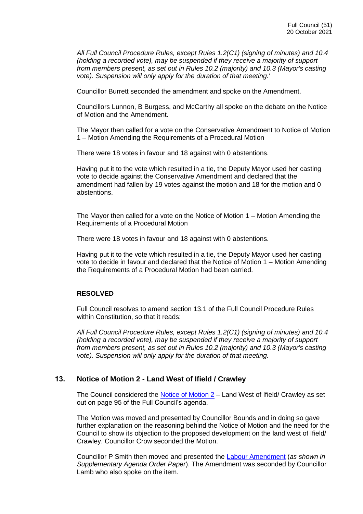*All Full Council Procedure Rules, except Rules 1.2(C1) (signing of minutes) and 10.4 (holding a recorded vote), may be suspended if they receive a majority of support from members present, as set out in Rules 10.2 (majority) and 10.3 (Mayor's casting vote). Suspension will only apply for the duration of that meeting.'*

Councillor Burrett seconded the amendment and spoke on the Amendment.

Councillors Lunnon, B Burgess, and McCarthy all spoke on the debate on the Notice of Motion and the Amendment.

The Mayor then called for a vote on the Conservative Amendment to Notice of Motion 1 – Motion Amending the Requirements of a Procedural Motion

There were 18 votes in favour and 18 against with 0 abstentions.

Having put it to the vote which resulted in a tie, the Deputy Mayor used her casting vote to decide against the Conservative Amendment and declared that the amendment had fallen by 19 votes against the motion and 18 for the motion and 0 abstentions.

The Mayor then called for a vote on the Notice of Motion 1 – Motion Amending the Requirements of a Procedural Motion

There were 18 votes in favour and 18 against with 0 abstentions.

Having put it to the vote which resulted in a tie, the Deputy Mayor used her casting vote to decide in favour and declared that the Notice of Motion 1 – Motion Amending the Requirements of a Procedural Motion had been carried.

#### **RESOLVED**

Full Council resolves to amend section 13.1 of the Full Council Procedure Rules within Constitution, so that it reads:

*All Full Council Procedure Rules, except Rules 1.2(C1) (signing of minutes) and 10.4 (holding a recorded vote), may be suspended if they receive a majority of support from members present, as set out in Rules 10.2 (majority) and 10.3 (Mayor's casting vote). Suspension will only apply for the duration of that meeting.*

#### **13. Notice of Motion 2 - Land West of Ifield / Crawley**

The Council considered the [Notice of Motion 2](https://crawleyintranet.moderngov.co.uk/documents/s20349/NOM%202%20-LAND%20WEST%20OF%20IFIELD%20-%20CRAWLEY.pdf) – Land West of Ifield/ Crawley as set out on page 95 of the Full Council's agenda.

The Motion was moved and presented by Councillor Bounds and in doing so gave further explanation on the reasoning behind the Notice of Motion and the need for the Council to show its objection to the proposed development on the land west of Ifield/ Crawley. Councillor Crow seconded the Motion.

Councillor P Smith then moved and presented the [Labour Amendment](https://crawleyintranet.moderngov.co.uk/documents/s20475/Amendment%20NOM%202%20lab.pdf) (*as shown in Supplementary Agenda Order Paper*). The Amendment was seconded by Councillor Lamb who also spoke on the item.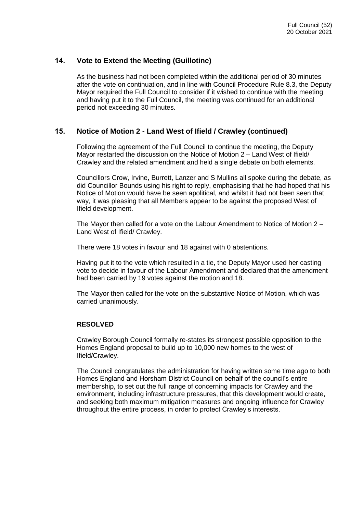### **14. Vote to Extend the Meeting (Guillotine)**

As the business had not been completed within the additional period of 30 minutes after the vote on continuation, and in line with Council Procedure Rule 8.3, the Deputy Mayor required the Full Council to consider if it wished to continue with the meeting and having put it to the Full Council, the meeting was continued for an additional period not exceeding 30 minutes.

### **15. Notice of Motion 2 - Land West of Ifield / Crawley (continued)**

Following the agreement of the Full Council to continue the meeting, the Deputy Mayor restarted the discussion on the Notice of Motion 2 – Land West of Ifield/ Crawley and the related amendment and held a single debate on both elements.

Councillors Crow, Irvine, Burrett, Lanzer and S Mullins all spoke during the debate, as did Councillor Bounds using his right to reply, emphasising that he had hoped that his Notice of Motion would have be seen apolitical, and whilst it had not been seen that way, it was pleasing that all Members appear to be against the proposed West of Ifield development.

The Mayor then called for a vote on the Labour Amendment to Notice of Motion 2 – Land West of Ifield/ Crawley.

There were 18 votes in favour and 18 against with 0 abstentions.

Having put it to the vote which resulted in a tie, the Deputy Mayor used her casting vote to decide in favour of the Labour Amendment and declared that the amendment had been carried by 19 votes against the motion and 18.

The Mayor then called for the vote on the substantive Notice of Motion, which was carried unanimously.

#### **RESOLVED**

Crawley Borough Council formally re-states its strongest possible opposition to the Homes England proposal to build up to 10,000 new homes to the west of Ifield/Crawley.

The Council congratulates the administration for having written some time ago to both Homes England and Horsham District Council on behalf of the council's entire membership, to set out the full range of concerning impacts for Crawley and the environment, including infrastructure pressures, that this development would create, and seeking both maximum mitigation measures and ongoing influence for Crawley throughout the entire process, in order to protect Crawley's interests.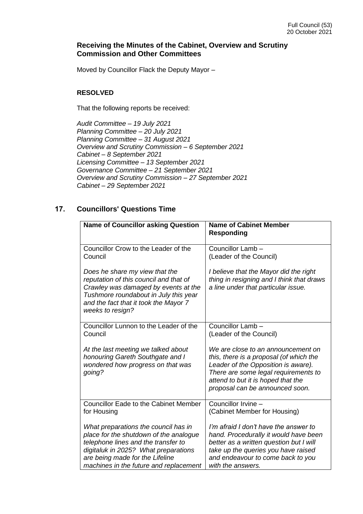### **Receiving the Minutes of the Cabinet, Overview and Scrutiny Commission and Other Committees**

Moved by Councillor Flack the Deputy Mayor –

### **RESOLVED**

That the following reports be received:

*Audit Committee – 19 July 2021 Planning Committee – 20 July 2021 Planning Committee – 31 August 2021 Overview and Scrutiny Commission – 6 September 2021 Cabinet – 8 September 2021 Licensing Committee – 13 September 2021 Governance Committee – 21 September 2021 Overview and Scrutiny Commission – 27 September 2021 Cabinet – 29 September 2021*

# **17. Councillors' Questions Time**

| <b>Name of Councillor asking Question</b>                                                                                                                                                                              | <b>Name of Cabinet Member</b><br><b>Responding</b>                                                                                                                                                                                    |
|------------------------------------------------------------------------------------------------------------------------------------------------------------------------------------------------------------------------|---------------------------------------------------------------------------------------------------------------------------------------------------------------------------------------------------------------------------------------|
| Councillor Crow to the Leader of the                                                                                                                                                                                   | Councillor Lamb -                                                                                                                                                                                                                     |
| Council                                                                                                                                                                                                                | (Leader of the Council)                                                                                                                                                                                                               |
| Does he share my view that the<br>reputation of this council and that of<br>Crawley was damaged by events at the<br>Tushmore roundabout in July this year<br>and the fact that it took the Mayor 7<br>weeks to resign? | I believe that the Mayor did the right<br>thing in resigning and I think that draws<br>a line under that particular issue.                                                                                                            |
| Councillor Lunnon to the Leader of the                                                                                                                                                                                 | Councillor Lamb -                                                                                                                                                                                                                     |
| Council                                                                                                                                                                                                                | (Leader of the Council)                                                                                                                                                                                                               |
| At the last meeting we talked about<br>honouring Gareth Southgate and I<br>wondered how progress on that was<br>going?                                                                                                 | We are close to an announcement on<br>this, there is a proposal (of which the<br>Leader of the Opposition is aware).<br>There are some legal requirements to<br>attend to but it is hoped that the<br>proposal can be announced soon. |
| <b>Councillor Eade to the Cabinet Member</b>                                                                                                                                                                           | Councillor Irvine -                                                                                                                                                                                                                   |
| for Housing                                                                                                                                                                                                            | (Cabinet Member for Housing)                                                                                                                                                                                                          |
| What preparations the council has in                                                                                                                                                                                   | I'm afraid I don't have the answer to                                                                                                                                                                                                 |
| place for the shutdown of the analogue                                                                                                                                                                                 | hand. Procedurally it would have been                                                                                                                                                                                                 |
| telephone lines and the transfer to                                                                                                                                                                                    | better as a written question but I will                                                                                                                                                                                               |
| digitaluk in 2025? What preparations                                                                                                                                                                                   | take up the queries you have raised                                                                                                                                                                                                   |
| are being made for the Lifeline                                                                                                                                                                                        | and endeavour to come back to you                                                                                                                                                                                                     |
| machines in the future and replacement                                                                                                                                                                                 | with the answers.                                                                                                                                                                                                                     |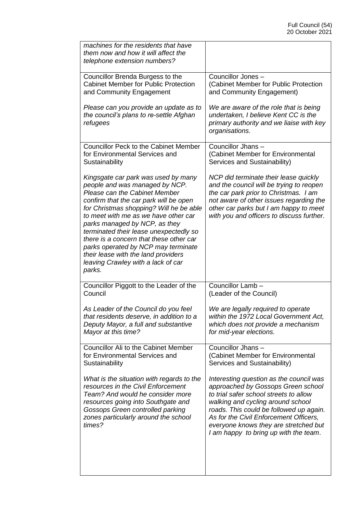| machines for the residents that have<br>them now and how it will affect the<br>telephone extension numbers?                                                                                                                                                                                                                                                                                                                                                                             |                                                                                                                                                                                                                                                                                                                                     |
|-----------------------------------------------------------------------------------------------------------------------------------------------------------------------------------------------------------------------------------------------------------------------------------------------------------------------------------------------------------------------------------------------------------------------------------------------------------------------------------------|-------------------------------------------------------------------------------------------------------------------------------------------------------------------------------------------------------------------------------------------------------------------------------------------------------------------------------------|
| Councillor Brenda Burgess to the                                                                                                                                                                                                                                                                                                                                                                                                                                                        | Councillor Jones -                                                                                                                                                                                                                                                                                                                  |
| <b>Cabinet Member for Public Protection</b>                                                                                                                                                                                                                                                                                                                                                                                                                                             | (Cabinet Member for Public Protection                                                                                                                                                                                                                                                                                               |
| and Community Engagement                                                                                                                                                                                                                                                                                                                                                                                                                                                                | and Community Engagement)                                                                                                                                                                                                                                                                                                           |
| Please can you provide an update as to<br>the council's plans to re-settle Afghan<br>refugees                                                                                                                                                                                                                                                                                                                                                                                           | We are aware of the role that is being<br>undertaken, I believe Kent CC is the<br>primary authority and we liaise with key<br>organisations.                                                                                                                                                                                        |
| <b>Councillor Peck to the Cabinet Member</b>                                                                                                                                                                                                                                                                                                                                                                                                                                            | Councillor Jhans-                                                                                                                                                                                                                                                                                                                   |
| for Environmental Services and                                                                                                                                                                                                                                                                                                                                                                                                                                                          | (Cabinet Member for Environmental                                                                                                                                                                                                                                                                                                   |
| Sustainability                                                                                                                                                                                                                                                                                                                                                                                                                                                                          | Services and Sustainability)                                                                                                                                                                                                                                                                                                        |
| Kingsgate car park was used by many<br>people and was managed by NCP.<br>Please can the Cabinet Member<br>confirm that the car park will be open<br>for Christmas shopping? Will he be able<br>to meet with me as we have other car<br>parks managed by NCP, as they<br>terminated their lease unexpectedly so<br>there is a concern that these other car<br>parks operated by NCP may terminate<br>their lease with the land providers<br>leaving Crawley with a lack of car<br>parks. | NCP did terminate their lease quickly<br>and the council will be trying to reopen<br>the car park prior to Christmas. I am<br>not aware of other issues regarding the<br>other car parks but I am happy to meet<br>with you and officers to discuss further.                                                                        |
| Councillor Piggott to the Leader of the                                                                                                                                                                                                                                                                                                                                                                                                                                                 | Councillor Lamb -                                                                                                                                                                                                                                                                                                                   |
| Council                                                                                                                                                                                                                                                                                                                                                                                                                                                                                 | (Leader of the Council)                                                                                                                                                                                                                                                                                                             |
| As Leader of the Council do you feel                                                                                                                                                                                                                                                                                                                                                                                                                                                    | We are legally required to operate                                                                                                                                                                                                                                                                                                  |
| that residents deserve, in addition to a                                                                                                                                                                                                                                                                                                                                                                                                                                                | within the 1972 Local Government Act,                                                                                                                                                                                                                                                                                               |
| Deputy Mayor, a full and substantive                                                                                                                                                                                                                                                                                                                                                                                                                                                    | which does not provide a mechanism                                                                                                                                                                                                                                                                                                  |
| Mayor at this time?                                                                                                                                                                                                                                                                                                                                                                                                                                                                     | for mid-year elections.                                                                                                                                                                                                                                                                                                             |
| <b>Councillor Ali to the Cabinet Member</b>                                                                                                                                                                                                                                                                                                                                                                                                                                             | Councillor Jhans-                                                                                                                                                                                                                                                                                                                   |
| for Environmental Services and                                                                                                                                                                                                                                                                                                                                                                                                                                                          | (Cabinet Member for Environmental                                                                                                                                                                                                                                                                                                   |
| Sustainability                                                                                                                                                                                                                                                                                                                                                                                                                                                                          | Services and Sustainability)                                                                                                                                                                                                                                                                                                        |
| What is the situation with regards to the<br>resources in the Civil Enforcement<br>Team? And would he consider more<br>resources going into Southgate and<br>Gossops Green controlled parking<br>zones particularly around the school<br>times?                                                                                                                                                                                                                                         | Interesting question as the council was<br>approached by Gossops Green school<br>to trial safer school streets to allow<br>walking and cycling around school<br>roads. This could be followed up again.<br>As for the Civil Enforcement Officers,<br>everyone knows they are stretched but<br>I am happy to bring up with the team. |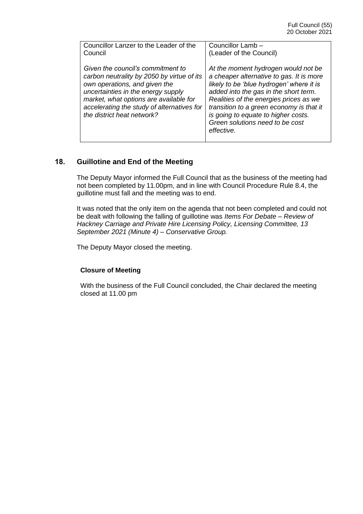| Councillor Lanzer to the Leader of the                                                                                                                                                                                                                                       | Councillor Lamb -                                                                                                                                                                                                                                                                                                                                  |
|------------------------------------------------------------------------------------------------------------------------------------------------------------------------------------------------------------------------------------------------------------------------------|----------------------------------------------------------------------------------------------------------------------------------------------------------------------------------------------------------------------------------------------------------------------------------------------------------------------------------------------------|
| Council                                                                                                                                                                                                                                                                      | (Leader of the Council)                                                                                                                                                                                                                                                                                                                            |
| Given the council's commitment to<br>carbon neutrality by 2050 by virtue of its<br>own operations, and given the<br>uncertainties in the energy supply<br>market, what options are available for<br>accelerating the study of alternatives for<br>the district heat network? | At the moment hydrogen would not be<br>a cheaper alternative to gas. It is more<br>likely to be 'blue hydrogen' where it is<br>added into the gas in the short term.<br>Realities of the energies prices as we<br>transition to a green economy is that it<br>is going to equate to higher costs.<br>Green solutions need to be cost<br>effective. |

# **18. Guillotine and End of the Meeting**

The Deputy Mayor informed the Full Council that as the business of the meeting had not been completed by 11.00pm, and in line with Council Procedure Rule 8.4, the guillotine must fall and the meeting was to end.

It was noted that the only item on the agenda that not been completed and could not be dealt with following the falling of guillotine was *Items For Debate – Review of Hackney Carriage and Private Hire Licensing Policy, Licensing Committee, 13 September 2021 (Minute 4) – Conservative Group.*

The Deputy Mayor closed the meeting.

#### **Closure of Meeting**

With the business of the Full Council concluded, the Chair declared the meeting closed at 11.00 pm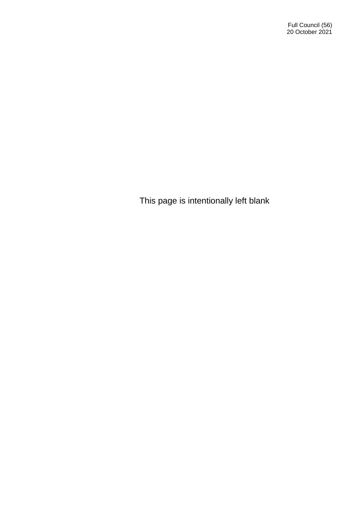This page is intentionally left blank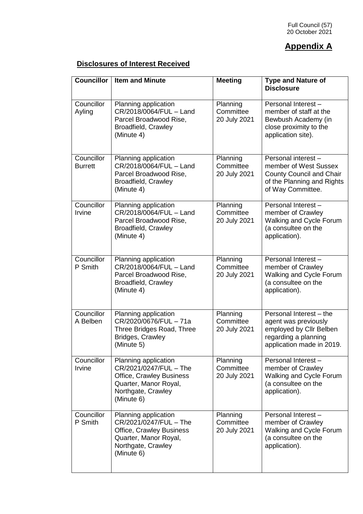# **Appendix A**

# **Disclosures of Interest Received**

| <b>Councillor</b>            | <b>Item and Minute</b>                                                                                                                         | <b>Meeting</b>                        | <b>Type and Nature of</b><br><b>Disclosure</b>                                                                                     |
|------------------------------|------------------------------------------------------------------------------------------------------------------------------------------------|---------------------------------------|------------------------------------------------------------------------------------------------------------------------------------|
| Councillor<br>Ayling         | Planning application<br>CR/2018/0064/FUL - Land<br>Parcel Broadwood Rise,<br>Broadfield, Crawley<br>(Minute 4)                                 | Planning<br>Committee<br>20 July 2021 | Personal Interest-<br>member of staff at the<br>Bewbush Academy (in<br>close proximity to the<br>application site).                |
| Councillor<br><b>Burrett</b> | Planning application<br>CR/2018/0064/FUL - Land<br>Parcel Broadwood Rise,<br>Broadfield, Crawley<br>(Minute 4)                                 | Planning<br>Committee<br>20 July 2021 | Personal interest -<br>member of West Sussex<br><b>County Council and Chair</b><br>of the Planning and Rights<br>of Way Committee. |
| Councillor<br>Irvine         | Planning application<br>CR/2018/0064/FUL - Land<br>Parcel Broadwood Rise,<br>Broadfield, Crawley<br>(Minute 4)                                 | Planning<br>Committee<br>20 July 2021 | Personal Interest-<br>member of Crawley<br>Walking and Cycle Forum<br>(a consultee on the<br>application).                         |
| Councillor<br>P Smith        | Planning application<br>CR/2018/0064/FUL - Land<br>Parcel Broadwood Rise,<br>Broadfield, Crawley<br>(Minute 4)                                 | Planning<br>Committee<br>20 July 2021 | Personal Interest-<br>member of Crawley<br>Walking and Cycle Forum<br>(a consultee on the<br>application).                         |
| Councillor<br>A Belben       | Planning application<br>CR/2020/0676/FUL - 71a<br>Three Bridges Road, Three<br>Bridges, Crawley<br>(Minute 5)                                  | Planning<br>Committee<br>20 July 2021 | Personal Interest - the<br>agent was previously<br>employed by Cllr Belben<br>regarding a planning<br>application made in 2019.    |
| Councillor<br>Irvine         | Planning application<br>CR/2021/0247/FUL - The<br><b>Office, Crawley Business</b><br>Quarter, Manor Royal,<br>Northgate, Crawley<br>(Minute 6) | Planning<br>Committee<br>20 July 2021 | Personal Interest -<br>member of Crawley<br>Walking and Cycle Forum<br>(a consultee on the<br>application).                        |
| Councillor<br>P Smith        | Planning application<br>CR/2021/0247/FUL - The<br><b>Office, Crawley Business</b><br>Quarter, Manor Royal,<br>Northgate, Crawley<br>(Minute 6) | Planning<br>Committee<br>20 July 2021 | Personal Interest-<br>member of Crawley<br>Walking and Cycle Forum<br>(a consultee on the<br>application).                         |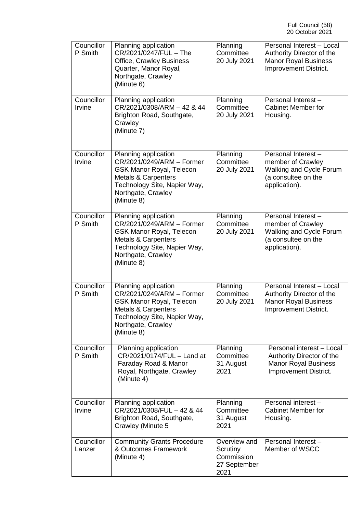| Councillor<br>P Smith | Planning application<br>CR/2021/0247/FUL - The<br><b>Office, Crawley Business</b><br>Quarter, Manor Royal,<br>Northgate, Crawley<br>(Minute 6)                                             | Planning<br>Committee<br>20 July 2021                          | Personal Interest - Local<br>Authority Director of the<br><b>Manor Royal Business</b><br><b>Improvement District.</b> |
|-----------------------|--------------------------------------------------------------------------------------------------------------------------------------------------------------------------------------------|----------------------------------------------------------------|-----------------------------------------------------------------------------------------------------------------------|
| Councillor<br>Irvine  | Planning application<br>CR/2021/0308/ARM - 42 & 44<br>Brighton Road, Southgate,<br>Crawley<br>(Minute 7)                                                                                   | Planning<br>Committee<br>20 July 2021                          | Personal Interest-<br><b>Cabinet Member for</b><br>Housing.                                                           |
| Councillor<br>Irvine  | Planning application<br>CR/2021/0249/ARM - Former<br><b>GSK Manor Royal, Telecon</b><br><b>Metals &amp; Carpenters</b><br>Technology Site, Napier Way,<br>Northgate, Crawley<br>(Minute 8) | Planning<br>Committee<br>20 July 2021                          | Personal Interest-<br>member of Crawley<br><b>Walking and Cycle Forum</b><br>(a consultee on the<br>application).     |
| Councillor<br>P Smith | Planning application<br>CR/2021/0249/ARM - Former<br><b>GSK Manor Royal, Telecon</b><br><b>Metals &amp; Carpenters</b><br>Technology Site, Napier Way,<br>Northgate, Crawley<br>(Minute 8) | Planning<br>Committee<br>20 July 2021                          | Personal Interest-<br>member of Crawley<br><b>Walking and Cycle Forum</b><br>(a consultee on the<br>application).     |
| Councillor<br>P Smith | Planning application<br>CR/2021/0249/ARM - Former<br><b>GSK Manor Royal, Telecon</b><br><b>Metals &amp; Carpenters</b><br>Technology Site, Napier Way,<br>Northgate, Crawley<br>(Minute 8) | Planning<br>Committee<br>20 July 2021                          | Personal Interest - Local<br>Authority Director of the<br><b>Manor Royal Business</b><br>Improvement District.        |
| Councillor<br>P Smith | Planning application<br>CR/2021/0174/FUL - Land at<br>Faraday Road & Manor<br>Royal, Northgate, Crawley<br>(Minute 4)                                                                      | Planning<br>Committee<br>31 August<br>2021                     | Personal interest - Local<br>Authority Director of the<br><b>Manor Royal Business</b><br><b>Improvement District.</b> |
| Councillor<br>Irvine  | Planning application<br>CR/2021/0308/FUL - 42 & 44<br>Brighton Road, Southgate,<br>Crawley (Minute 5                                                                                       | Planning<br>Committee<br>31 August<br>2021                     | Personal interest -<br><b>Cabinet Member for</b><br>Housing.                                                          |
| Councillor<br>Lanzer  | <b>Community Grants Procedure</b><br>& Outcomes Framework<br>(Minute 4)                                                                                                                    | Overview and<br>Scrutiny<br>Commission<br>27 September<br>2021 | Personal Interest-<br>Member of WSCC                                                                                  |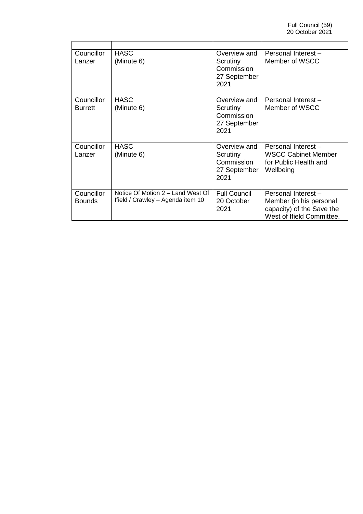| Councillor<br>Lanzer         | <b>HASC</b><br>(Minute 6)                                              | Overview and<br>Scrutiny<br>Commission<br>27 September<br>2021 | Personal Interest-<br>Member of WSCC                                                                    |
|------------------------------|------------------------------------------------------------------------|----------------------------------------------------------------|---------------------------------------------------------------------------------------------------------|
| Councillor<br><b>Burrett</b> | <b>HASC</b><br>(Minute 6)                                              | Overview and<br>Scrutiny<br>Commission<br>27 September<br>2021 | Personal Interest-<br>Member of WSCC                                                                    |
| Councillor<br>Lanzer         | <b>HASC</b><br>(Minute 6)                                              | Overview and<br>Scrutiny<br>Commission<br>27 September<br>2021 | Personal Interest-<br><b>WSCC Cabinet Member</b><br>for Public Health and<br>Wellbeing                  |
| Councillor<br><b>Bounds</b>  | Notice Of Motion 2 – Land West Of<br>Ifield / Crawley - Agenda item 10 | <b>Full Council</b><br>20 October<br>2021                      | Personal Interest-<br>Member (in his personal<br>capacity) of the Save the<br>West of Ifield Committee. |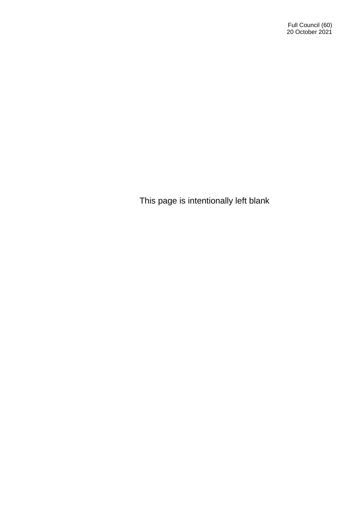This page is intentionally left blank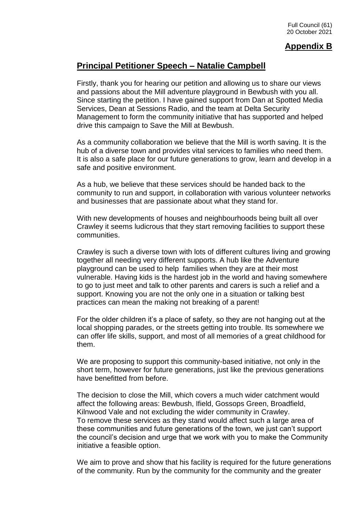# **Appendix B**

# **Principal Petitioner Speech – Natalie Campbell**

Firstly, thank you for hearing our petition and allowing us to share our views and passions about the Mill adventure playground in Bewbush with you all. Since starting the petition. I have gained support from Dan at Spotted Media Services, Dean at Sessions Radio, and the team at Delta Security Management to form the community initiative that has supported and helped drive this campaign to Save the Mill at Bewbush.

As a community collaboration we believe that the Mill is worth saving. It is the hub of a diverse town and provides vital services to families who need them. It is also a safe place for our future generations to grow, learn and develop in a safe and positive environment.

As a hub, we believe that these services should be handed back to the community to run and support, in collaboration with various volunteer networks and businesses that are passionate about what they stand for.

With new developments of houses and neighbourhoods being built all over Crawley it seems ludicrous that they start removing facilities to support these communities.

Crawley is such a diverse town with lots of different cultures living and growing together all needing very different supports. A hub like the Adventure playground can be used to help families when they are at their most vulnerable. Having kids is the hardest job in the world and having somewhere to go to just meet and talk to other parents and carers is such a relief and a support. Knowing you are not the only one in a situation or talking best practices can mean the making not breaking of a parent!

For the older children it's a place of safety, so they are not hanging out at the local shopping parades, or the streets getting into trouble. Its somewhere we can offer life skills, support, and most of all memories of a great childhood for them.

We are proposing to support this community-based initiative, not only in the short term, however for future generations, just like the previous generations have benefitted from before.

The decision to close the Mill, which covers a much wider catchment would affect the following areas: Bewbush, Ifield, Gossops Green, Broadfield, Kilnwood Vale and not excluding the wider community in Crawley. To remove these services as they stand would affect such a large area of these communities and future generations of the town, we just can't support the council's decision and urge that we work with you to make the Community initiative a feasible option.

We aim to prove and show that his facility is required for the future generations of the community. Run by the community for the community and the greater